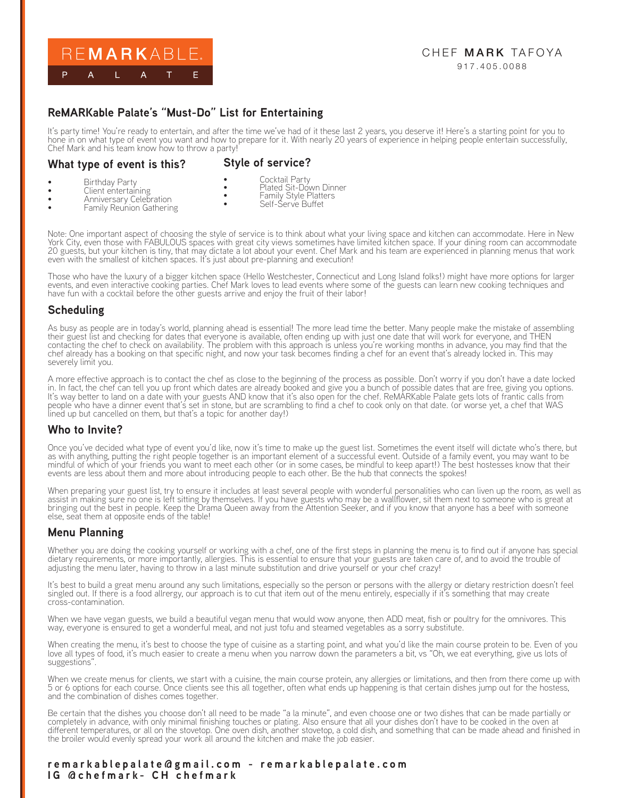

#### CHEF MARK TAFOYA 917.405.0088

# **ReMARKable Palate's "Must-Do" List for Entertaining**

It's party time! You're ready to entertain, and after the time we've had of it these last 2 years, you deserve it! Here's a starting point for you to hone in on what type of event you want and how to prepare for it. With nearly 20 years of experience in helping people entertain successfully, Chef Mark and his team know how to throw a party!

#### **What type of event is this?**

**Style of service?**

**Birthday Party** 

- Cocktail Party • Plated Sit-Down Dinner
- Client entertaining • Anniversary Celebration
- Family Style Platters
- Family Reunion Gathering
- Self-Serve Buffet
- 

Note: One important aspect of choosing the style of service is to think about what your living space and kitchen can accommodate. Here in New York City, even those with FABULOUS spaces with great city views sometimes have limited kitchen space. If your dining room can accommodate 20 guests, but your kitchen is tiny, that may dictate a lot about your event. Chef Mark and his team are experienced in planning menus that work even with the smallest of kitchen spaces. It's just about pre-planning and execution!

Those who have the luxury of a bigger kitchen space (Hello Westchester, Connecticut and Long Island folks!) might have more options for larger events, and even interactive cooking parties. Chef Mark loves to lead events where some of the guests can learn new cooking techniques and have fun with a cocktail before the other guests arrive and enjoy the fruit of their labor!

### **Scheduling**

As busy as people are in today's world, planning ahead is essential! The more lead time the better. Many people make the mistake of assembling their guest list and checking for dates that everyone is available, often ending up with just one date that will work for everyone, and THEN contacting the chef to check on availability. The problem with this approach is unless you're working months in advance, you may find that the chef already has a booking on that specific night, and now your task becomes finding a chef for an event that's already locked in. This may severely limit you.

A more effective approach is to contact the chef as close to the beginning of the process as possible. Don't worry if you don't have a date locked in. In fact, the chef can tell you up front which dates are already booked and give you a bunch of possible dates that are free, giving you options. It's way better to land on a date with your guests AND know that it's also open for the chef. ReMARKable Palate gets lots of frantic calls from people who have a dinner event that's set in stone, but are scrambling to find a chef to cook only on that date. (or worse yet, a chef that WAS lined up but cancelled on them, but that's a topic for another day!)

### **Who to Invite?**

Once you've decided what type of event you'd like, now it's time to make up the guest list. Sometimes the event itself will dictate who's there, but as with anything, putting the right people together is an important element of a successful event. Outside of a family event, you may want to be mindful of which of your friends you want to meet each other (or in some cases, be mindful to keep apart!) The best hostesses know that their events are less about them and more about introducing people to each other. Be the hub that connects the spokes!

When preparing your guest list, try to ensure it includes at least several people with wonderful personalities who can liven up the room, as well as assist in making sure no one is left sitting by themselves. If you have guests who may be a wallflower, sit them next to someone who is great at bringing out the best in people. Keep the Drama Queen away from the Attention Seeker, and if you know that anyone has a beef with someone else, seat them at opposite ends of the table!

### **Menu Planning**

Whether you are doing the cooking yourself or working with a chef, one of the first steps in planning the menu is to find out if anyone has special dietary requirements, or more importantly, allergies. This is essential to ensure that your guests are taken care of, and to avoid the trouble of adjusting the menu later, having to throw in a last minute substitution and drive yourself or your chef crazy!

It's best to build a great menu around any such limitations, especially so the person or persons with the allergy or dietary restriction doesn't feel singled out. If there is a food allrergy, our approach is to cut that item out of the menu entirely, especially if it's something that may create cross-contamination.

When we have vegan guests, we build a beautiful vegan menu that would wow anyone, then ADD meat, fish or poultry for the omnivores. This way, everyone is ensured to get a wonderful meal, and not just tofu and steamed vegetables as a sorry substitute.

When creating the menu, it's best to choose the type of cuisine as a starting point, and what you'd like the main course protein to be. Even of you love all types of food, it's much easier to create a menu when you narrow down the parameters a bit, vs "Oh, we eat everything, give us lots of suggestions".

When we create menus for clients, we start with a cuisine, the main course protein, any allergies or limitations, and then from there come up with 5 or 6 options for each course. Once clients see this all together, often what ends up happening is that certain dishes jump out for the hostess, and the combination of dishes comes together.

Be certain that the dishes you choose don't all need to be made "a la minute", and even choose one or two dishes that can be made partially or completely in advance, with only minimal finishing touches or plating. Also ensure that all your dishes don't have to be cooked in the oven at different temperatures, or all on the stovetop. One oven dish, another stovetop, a cold dish, and something that can be made ahead and finished in the broiler would evenly spread your work all around the kitchen and make the job easier.

#### **remarkablepalate@gmail.com - remarkablepalate.com IG @chefmark- CH chefmark**